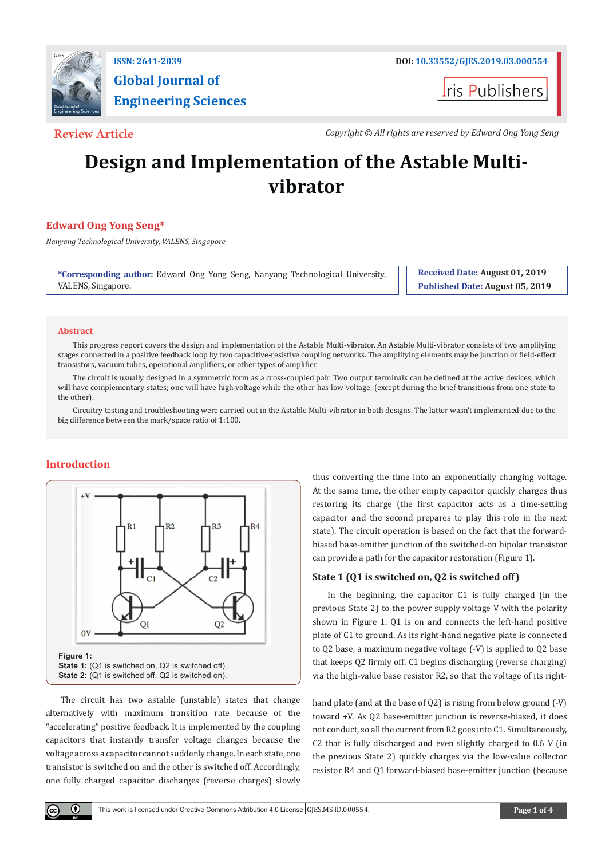

# **Global Journal of Engineering Sciences**

**t**ris Publishers

**Review Article** *Copyright © All rights are reserved by Edward Ong Yong Seng*

# **Design and Implementation of the Astable Multivibrator**

# **Edward Ong Yong Seng\***

*Nanyang Technological University, VALENS, Singapore*

**\*Corresponding author:** Edward Ong Yong Seng, Nanyang Technological University, VALENS, Singapore.

**Received Date: August 01, 2019 Published Date: August 05, 2019**

#### **Abstract**

This progress report covers the design and implementation of the Astable Multi-vibrator. An Astable Multi-vibrator consists of two amplifying stages connected in a positive feedback loop by two capacitive-resistive coupling networks. The amplifying elements may be junction or field-effect transistors, vacuum tubes, operational amplifiers, or other types of amplifier.

The circuit is usually designed in a symmetric form as a cross-coupled pair. Two output terminals can be defined at the active devices, which will have complementary states; one will have high voltage while the other has low voltage, (except during the brief transitions from one state to the other).

Circuitry testing and troubleshooting were carried out in the Astable Multi-vibrator in both designs. The latter wasn't implemented due to the big difference between the mark/space ratio of 1:100.

## **Introduction**

 $\left( \cdot \right)$ 



The circuit has two astable (unstable) states that change alternatively with maximum transition rate because of the "accelerating" positive feedback. It is implemented by the coupling capacitors that instantly transfer voltage changes because the voltage across a capacitor cannot suddenly change. In each state, one transistor is switched on and the other is switched off. Accordingly, one fully charged capacitor discharges (reverse charges) slowly

thus converting the time into an exponentially changing voltage. At the same time, the other empty capacitor quickly charges thus restoring its charge (the first capacitor acts as a time-setting capacitor and the second prepares to play this role in the next state). The circuit operation is based on the fact that the forwardbiased base-emitter junction of the switched-on bipolar transistor can provide a path for the capacitor restoration (Figure 1).

## **State 1 (Q1 is switched on, Q2 is switched off)**

In the beginning, the capacitor C1 is fully charged (in the previous State 2) to the power supply voltage V with the polarity shown in Figure 1. Q1 is on and connects the left-hand positive plate of C1 to ground. As its right-hand negative plate is connected to Q2 base, a maximum negative voltage (-V) is applied to Q2 base that keeps Q2 firmly off. C1 begins discharging (reverse charging) via the high-value base resistor R2, so that the voltage of its right-

hand plate (and at the base of Q2) is rising from below ground (-V) toward +V. As Q2 base-emitter junction is reverse-biased, it does not conduct, so all the current from R2 goes into C1. Simultaneously, C2 that is fully discharged and even slightly charged to 0.6 V (in the previous State 2) quickly charges via the low-value collector resistor R4 and Q1 forward-biased base-emitter junction (because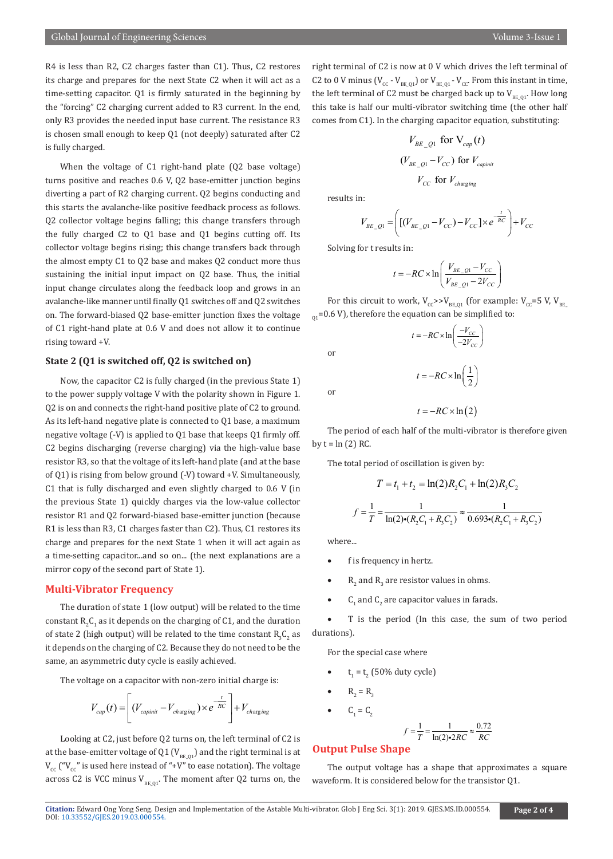R4 is less than R2, C2 charges faster than C1). Thus, C2 restores its charge and prepares for the next State C2 when it will act as a time-setting capacitor. Q1 is firmly saturated in the beginning by the "forcing" C2 charging current added to R3 current. In the end, only R3 provides the needed input base current. The resistance R3 is chosen small enough to keep Q1 (not deeply) saturated after C2 is fully charged.

When the voltage of C1 right-hand plate (Q2 base voltage) turns positive and reaches 0.6 V, Q2 base-emitter junction begins diverting a part of R2 charging current. Q2 begins conducting and this starts the avalanche-like positive feedback process as follows. Q2 collector voltage begins falling; this change transfers through the fully charged C2 to Q1 base and Q1 begins cutting off. Its collector voltage begins rising; this change transfers back through the almost empty C1 to Q2 base and makes Q2 conduct more thus sustaining the initial input impact on Q2 base. Thus, the initial input change circulates along the feedback loop and grows in an avalanche-like manner until finally Q1 switches off and Q2 switches on. The forward-biased Q2 base-emitter junction fixes the voltage of C1 right-hand plate at 0.6 V and does not allow it to continue rising toward +V.

### **State 2 (Q1 is switched off, Q2 is switched on)**

Now, the capacitor C2 is fully charged (in the previous State 1) to the power supply voltage V with the polarity shown in Figure 1. Q2 is on and connects the right-hand positive plate of C2 to ground. As its left-hand negative plate is connected to Q1 base, a maximum negative voltage (-V) is applied to Q1 base that keeps Q1 firmly off. C2 begins discharging (reverse charging) via the high-value base resistor R3, so that the voltage of its left-hand plate (and at the base of Q1) is rising from below ground (-V) toward +V. Simultaneously, C1 that is fully discharged and even slightly charged to 0.6 V (in the previous State 1) quickly charges via the low-value collector resistor R1 and Q2 forward-biased base-emitter junction (because R1 is less than R3, C1 charges faster than C2). Thus, C1 restores its charge and prepares for the next State 1 when it will act again as a time-setting capacitor...and so on... (the next explanations are a mirror copy of the second part of State 1).

#### **Multi-Vibrator Frequency**

The duration of state 1 (low output) will be related to the time constant  $\mathrm{R}_{2}\mathrm{C}_{1}$  as it depends on the charging of C1, and the duration of state 2 (high output) will be related to the time constant  $\mathrm{R}_{\mathfrak{z}}\mathrm{C}_{\mathfrak{z}}$  as it depends on the charging of C2. Because they do not need to be the same, an asymmetric duty cycle is easily achieved.

The voltage on a capacitor with non-zero initial charge is:

$$
V_{cap}(t) = \left[ (V_{capinit} - V_{changing}) \times e^{-\frac{t}{RC}} \right] + V_{changing}
$$

Looking at C2, just before Q2 turns on, the left terminal of C2 is at the base-emitter voltage of Q1 ( $V_{BE,01}$ ) and the right terminal is at  $V_{cc}$  (" $V_{cc}$ " is used here instead of "+V" to ease notation). The voltage across C2 is VCC minus  $V_{BE,01}$ . The moment after Q2 turns on, the right terminal of C2 is now at 0 V which drives the left terminal of C2 to 0 V minus ( $V_{cc}$  -  $V_{BEQ1}$ ) or  $V_{BEQ1}$  -  $V_{cc}$ . From this instant in time, the left terminal of C2 must be charged back up to  $V_{BE,01}$ . How long this take is half our multi-vibrator switching time (the other half comes from C1). In the charging capacitor equation, substituting:

$$
V_{BE\_Q1} \text{ for } V_{cap}(t)
$$
  

$$
(V_{BE\_Q1} - V_{CC}) \text{ for } V_{capinit}
$$
  

$$
V_{CC} \text{ for } V_{changing}
$$

results in:

$$
V_{BE\_Q1} = \left( [(V_{BE\_Q1} - V_{CC}) - V_{CC}] \times e^{-\frac{t}{RC}} \right) + V_{CC}
$$

Solving for t results in:

$$
t = -RC \times \ln\left(\frac{V_{BE\_Q1} - V_{CC}}{V_{BE\_Q1} - 2V_{CC}}\right)
$$

For this circuit to work,  $V_{\text{CC}} >> V_{\text{BE}_0}$  (for example:  $V_{\text{CC}} = 5$  V,  $V_{\text{BE}_0}$  $_{01}$ =0.6 V), therefore the equation can be simplified to:

> $\ln\left(\frac{r_{CC}}{-2V_{C}}\right)$  $t = -RC \times \ln\left(\frac{-V_{CC}}{-2V_{CC}}\right)$

or

or

$$
t = -RC \times \ln(2)
$$

 $t = -RC \times \ln\left(\frac{1}{2}\right)$ 

The period of each half of the multi-vibrator is therefore given by  $t = ln(2) RC$ .

The total period of oscillation is given by:

$$
T = t_1 + t_2 = \ln(2)R_2C_1 + \ln(2)R_3C_2
$$

$$
f = \frac{1}{T} = \frac{1}{\ln(2)\cdot (R_2C_1 + R_3C_2)} \approx \frac{1}{0.693\cdot (R_2C_1 + R_3C_2)}
$$

where...

- f is frequency in hertz.
- $R_2$  and  $R_3$  are resistor values in ohms.

•  $C_1$  and  $C_2$  are capacitor values in farads.

T is the period (In this case, the sum of two period durations).

For the special case where

- $t_1 = t_2$  (50% duty cycle)
- $R_2 = R_3$
- $C_1 = C_2$

$$
f = \frac{1}{T} = \frac{1}{\ln(2) \cdot 2RC} \approx \frac{0.72}{RC}
$$

#### **Output Pulse Shape**

The output voltage has a shape that approximates a square waveform. It is considered below for the transistor Q1.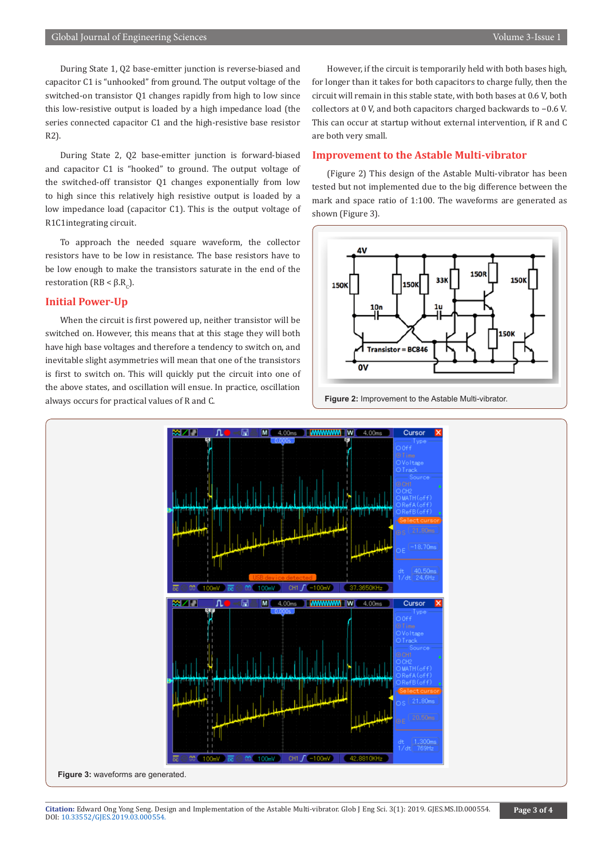During State 1, Q2 base-emitter junction is reverse-biased and capacitor C1 is "unhooked" from ground. The output voltage of the switched-on transistor Q1 changes rapidly from high to low since this low-resistive output is loaded by a high impedance load (the series connected capacitor C1 and the high-resistive base resistor R2).

During State 2, Q2 base-emitter junction is forward-biased and capacitor C1 is "hooked" to ground. The output voltage of the switched-off transistor Q1 changes exponentially from low to high since this relatively high resistive output is loaded by a low impedance load (capacitor C1). This is the output voltage of R1C1integrating circuit.

To approach the needed square waveform, the collector resistors have to be low in resistance. The base resistors have to be low enough to make the transistors saturate in the end of the restoration (RB < β.R<sub>c</sub>).

#### **Initial Power-Up**

When the circuit is first powered up, neither transistor will be switched on. However, this means that at this stage they will both have high base voltages and therefore a tendency to switch on, and inevitable slight asymmetries will mean that one of the transistors is first to switch on. This will quickly put the circuit into one of the above states, and oscillation will ensue. In practice, oscillation always occurs for practical values of R and C.

However, if the circuit is temporarily held with both bases high, for longer than it takes for both capacitors to charge fully, then the circuit will remain in this stable state, with both bases at 0.6 V, both collectors at 0 V, and both capacitors charged backwards to −0.6 V. This can occur at startup without external intervention, if R and C are both very small.

#### **Improvement to the Astable Multi-vibrator**

(Figure 2) This design of the Astable Multi-vibrator has been tested but not implemented due to the big difference between the mark and space ratio of 1:100. The waveforms are generated as shown (Figure 3).